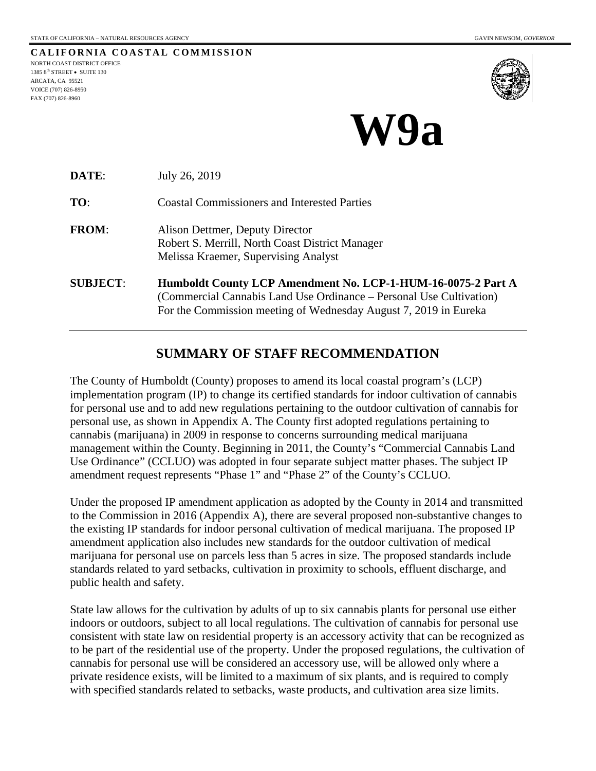**CALIFORNIA COASTAL COMMISSION** NORTH COAST DISTRICT OFFICE 1385 8<sup>th</sup> STREET • SUITE 130 ARCATA, CA 95521 VOICE (707) 826-8950 FAX (707) 826-8960



# **W9a**

| DATE:           | July 26, 2019                                                                                                                                                                                           |  |  |
|-----------------|---------------------------------------------------------------------------------------------------------------------------------------------------------------------------------------------------------|--|--|
| TO:             | <b>Coastal Commissioners and Interested Parties</b>                                                                                                                                                     |  |  |
| <b>FROM:</b>    | Alison Dettmer, Deputy Director<br>Robert S. Merrill, North Coast District Manager<br>Melissa Kraemer, Supervising Analyst                                                                              |  |  |
| <b>SUBJECT:</b> | Humboldt County LCP Amendment No. LCP-1-HUM-16-0075-2 Part A<br>(Commercial Cannabis Land Use Ordinance – Personal Use Cultivation)<br>For the Commission meeting of Wednesday August 7, 2019 in Eureka |  |  |

## **SUMMARY OF STAFF RECOMMENDATION**

The County of Humboldt (County) proposes to amend its local coastal program's (LCP) implementation program (IP) to change its certified standards for indoor cultivation of cannabis for personal use and to add new regulations pertaining to the outdoor cultivation of cannabis for personal use, as shown in Appendix A. The County first adopted regulations pertaining to cannabis (marijuana) in 2009 in response to concerns surrounding medical marijuana management within the County. Beginning in 2011, the County's "Commercial Cannabis Land Use Ordinance" (CCLUO) was adopted in four separate subject matter phases. The subject IP amendment request represents "Phase 1" and "Phase 2" of the County's CCLUO.

Under the proposed IP amendment application as adopted by the County in 2014 and transmitted to the Commission in 2016 (Appendix A), there are several proposed non-substantive changes to the existing IP standards for indoor personal cultivation of medical marijuana. The proposed IP amendment application also includes new standards for the outdoor cultivation of medical marijuana for personal use on parcels less than 5 acres in size. The proposed standards include standards related to yard setbacks, cultivation in proximity to schools, effluent discharge, and public health and safety.

State law allows for the cultivation by adults of up to six cannabis plants for personal use either indoors or outdoors, subject to all local regulations. The cultivation of cannabis for personal use consistent with state law on residential property is an accessory activity that can be recognized as to be part of the residential use of the property. Under the proposed regulations, the cultivation of cannabis for personal use will be considered an accessory use, will be allowed only where a private residence exists, will be limited to a maximum of six plants, and is required to comply with specified standards related to setbacks, waste products, and cultivation area size limits.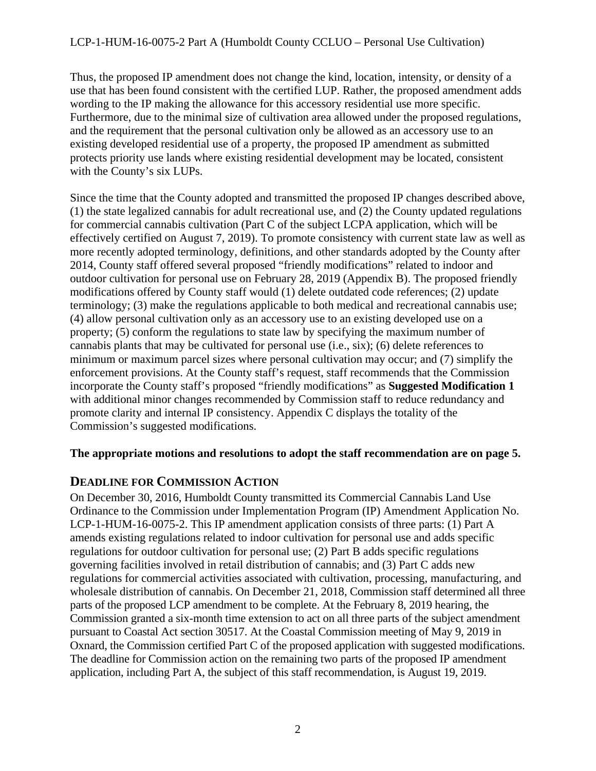Thus, the proposed IP amendment does not change the kind, location, intensity, or density of a use that has been found consistent with the certified LUP. Rather, the proposed amendment adds wording to the IP making the allowance for this accessory residential use more specific. Furthermore, due to the minimal size of cultivation area allowed under the proposed regulations, and the requirement that the personal cultivation only be allowed as an accessory use to an existing developed residential use of a property, the proposed IP amendment as submitted protects priority use lands where existing residential development may be located, consistent with the County's six LUPs.

Since the time that the County adopted and transmitted the proposed IP changes described above, (1) the state legalized cannabis for adult recreational use, and (2) the County updated regulations for commercial cannabis cultivation (Part C of the subject LCPA application, which will be effectively certified on August 7, 2019). To promote consistency with current state law as well as more recently adopted terminology, definitions, and other standards adopted by the County after 2014, County staff offered several proposed "friendly modifications" related to indoor and outdoor cultivation for personal use on February 28, 2019 (Appendix B). The proposed friendly modifications offered by County staff would (1) delete outdated code references; (2) update terminology; (3) make the regulations applicable to both medical and recreational cannabis use; (4) allow personal cultivation only as an accessory use to an existing developed use on a property; (5) conform the regulations to state law by specifying the maximum number of cannabis plants that may be cultivated for personal use (i.e., six); (6) delete references to minimum or maximum parcel sizes where personal cultivation may occur; and (7) simplify the enforcement provisions. At the County staff's request, staff recommends that the Commission incorporate the County staff's proposed "friendly modifications" as **Suggested Modification 1** with additional minor changes recommended by Commission staff to reduce redundancy and promote clarity and internal IP consistency. Appendix C displays the totality of the Commission's suggested modifications.

### **The appropriate motions and resolutions to adopt the staff recommendation are on page 5.**

## **DEADLINE FOR COMMISSION ACTION**

On December 30, 2016, Humboldt County transmitted its Commercial Cannabis Land Use Ordinance to the Commission under Implementation Program (IP) Amendment Application No. LCP-1-HUM-16-0075-2. This IP amendment application consists of three parts: (1) Part A amends existing regulations related to indoor cultivation for personal use and adds specific regulations for outdoor cultivation for personal use; (2) Part B adds specific regulations governing facilities involved in retail distribution of cannabis; and (3) Part C adds new regulations for commercial activities associated with cultivation, processing, manufacturing, and wholesale distribution of cannabis. On December 21, 2018, Commission staff determined all three parts of the proposed LCP amendment to be complete. At the February 8, 2019 hearing, the Commission granted a six-month time extension to act on all three parts of the subject amendment pursuant to Coastal Act section 30517. At the Coastal Commission meeting of May 9, 2019 in Oxnard, the Commission certified Part C of the proposed application with suggested modifications. The deadline for Commission action on the remaining two parts of the proposed IP amendment application, including Part A, the subject of this staff recommendation, is August 19, 2019.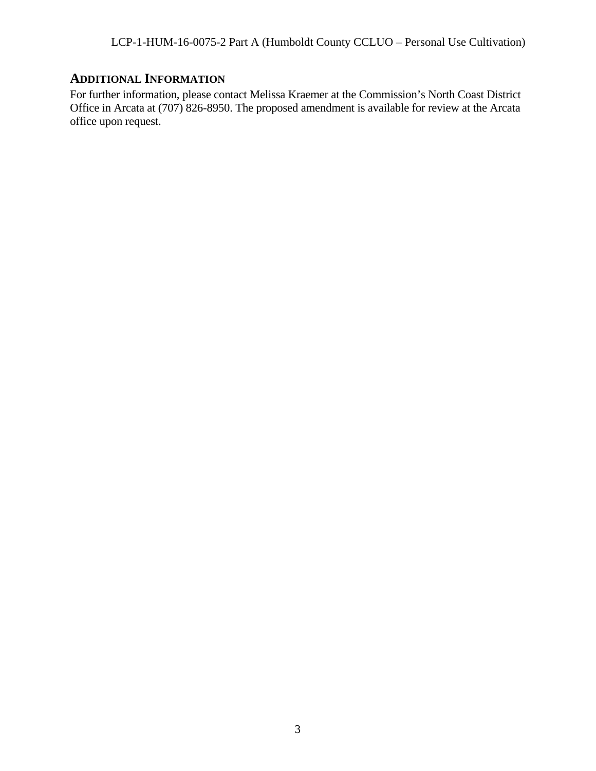# **ADDITIONAL INFORMATION**

For further information, please contact Melissa Kraemer at the Commission's North Coast District Office in Arcata at (707) 826-8950. The proposed amendment is available for review at the Arcata office upon request.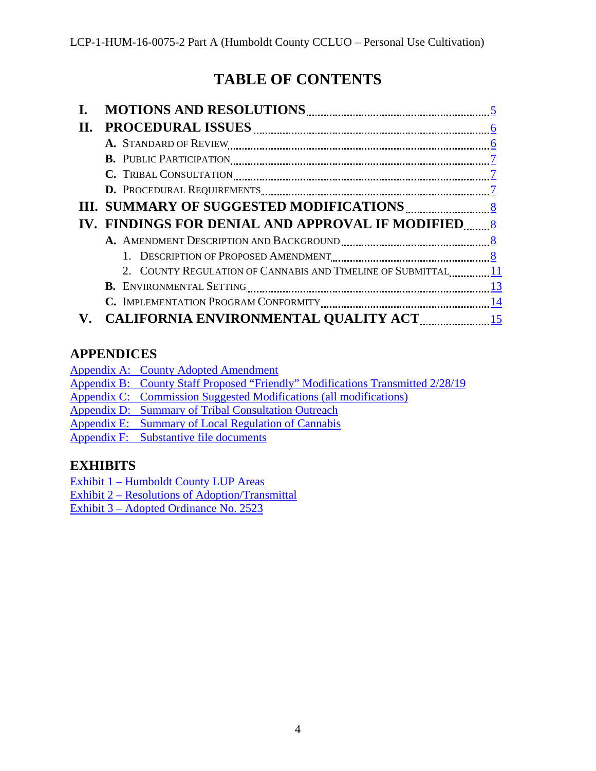# **TABLE OF CONTENTS**

| П. |                                                                  |  |
|----|------------------------------------------------------------------|--|
|    |                                                                  |  |
|    |                                                                  |  |
|    |                                                                  |  |
|    | D. PROCEDURAL REQUIREMENTS <b>Example 2</b> and 2                |  |
|    |                                                                  |  |
|    |                                                                  |  |
|    |                                                                  |  |
|    |                                                                  |  |
|    | 2. COUNTY REGULATION OF CANNABIS AND TIMELINE OF SUBMITTAL 11    |  |
|    | <b>B.</b> ENVIRONMENTAL SETTING <b>CONSERVERTY B. EXECUTE 23</b> |  |
|    |                                                                  |  |
|    |                                                                  |  |

# **APPENDICES**

| Appendix A: County Adopted Amendment |  |  |
|--------------------------------------|--|--|
|                                      |  |  |

- Appendix B: [County Staff Proposed "Friendly"](https://documents.coastal.ca.gov/reports/2019/8/W9a/W9a-8-2019-appendix.pdf) Modifications Transmitted 2/28/19
- Appendix C: [Commission Suggested Modifications \(all modifications\)](https://documents.coastal.ca.gov/reports/2019/8/W9a/W9a-8-2019-appendix.pdf)
- Appendix D: [Summary of Tribal Consultation Outreach](https://documents.coastal.ca.gov/reports/2019/8/W9a/W9a-8-2019-appendix.pdf)
- Appendix E: [Summary of Local Regulation of Cannabis](https://documents.coastal.ca.gov/reports/2019/8/W9a/W9a-8-2019-appendix.pdf)
- Appendix F: [Substantive file documents](https://documents.coastal.ca.gov/reports/2019/8/W9a/W9a-8-2019-appendix.pdf)

# **EXHIBITS**

Exhibit 1 – [Humboldt County LUP Areas](https://documents.coastal.ca.gov/reports/2019/8/W9a/W9a-8-2019-exhibits.pdf)

Exhibit 2 – Resolutions [of Adoption/Transmittal](https://documents.coastal.ca.gov/reports/2019/8/W9a/W9a-8-2019-exhibits.pdf)

Exhibit 3 – [Adopted Ordinance](https://documents.coastal.ca.gov/reports/2019/8/W9a/W9a-8-2019-exhibits.pdf) No. 2523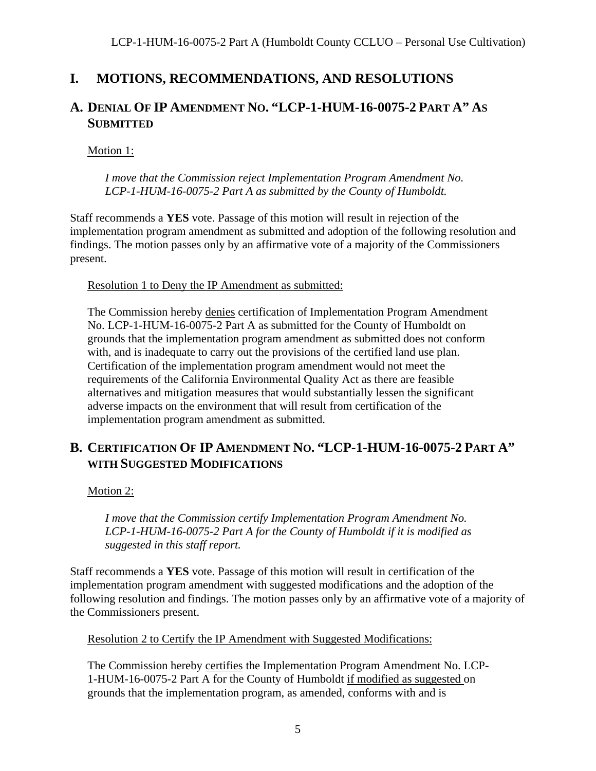# <span id="page-4-0"></span>**I. MOTIONS, RECOMMENDATIONS, AND RESOLUTIONS**

# **A. DENIAL OF IP AMENDMENT NO. "LCP-1-HUM-16-0075-2 PART A" AS SUBMITTED**

Motion 1:

*I move that the Commission reject Implementation Program Amendment No. LCP-1-HUM-16-0075-2 Part A as submitted by the County of Humboldt.*

Staff recommends a **YES** vote. Passage of this motion will result in rejection of the implementation program amendment as submitted and adoption of the following resolution and findings. The motion passes only by an affirmative vote of a majority of the Commissioners present.

Resolution 1 to Deny the IP Amendment as submitted:

The Commission hereby denies certification of Implementation Program Amendment No. LCP-1-HUM-16-0075-2 Part A as submitted for the County of Humboldt on grounds that the implementation program amendment as submitted does not conform with, and is inadequate to carry out the provisions of the certified land use plan. Certification of the implementation program amendment would not meet the requirements of the California Environmental Quality Act as there are feasible alternatives and mitigation measures that would substantially lessen the significant adverse impacts on the environment that will result from certification of the implementation program amendment as submitted.

# **B. CERTIFICATION OF IP AMENDMENT NO. "LCP-1-HUM-16-0075-2 PART A" WITH SUGGESTED MODIFICATIONS**

Motion 2:

*I move that the Commission certify Implementation Program Amendment No. LCP-1-HUM-16-0075-2 Part A for the County of Humboldt if it is modified as suggested in this staff report.*

Staff recommends a **YES** vote. Passage of this motion will result in certification of the implementation program amendment with suggested modifications and the adoption of the following resolution and findings. The motion passes only by an affirmative vote of a majority of the Commissioners present.

Resolution 2 to Certify the IP Amendment with Suggested Modifications:

The Commission hereby certifies the Implementation Program Amendment No. LCP-1-HUM-16-0075-2 Part A for the County of Humboldt if modified as suggested on grounds that the implementation program, as amended, conforms with and is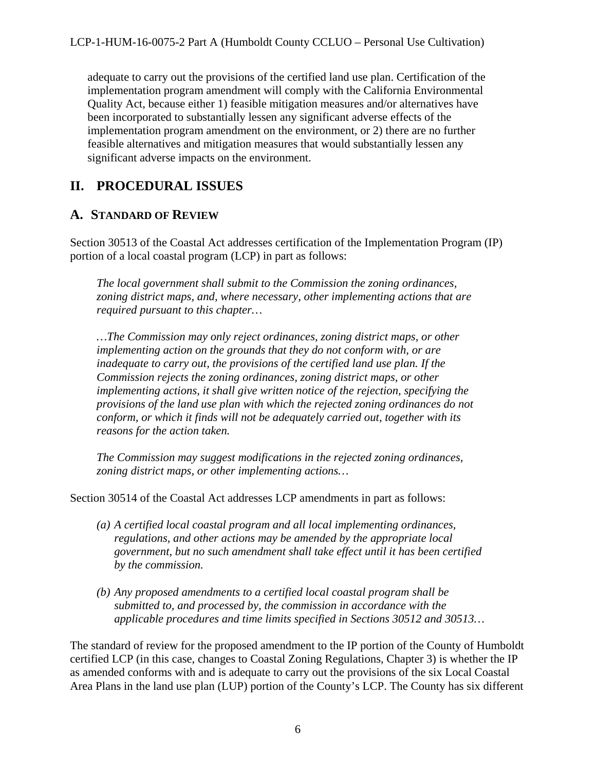adequate to carry out the provisions of the certified land use plan. Certification of the implementation program amendment will comply with the California Environmental Quality Act, because either 1) feasible mitigation measures and/or alternatives have been incorporated to substantially lessen any significant adverse effects of the implementation program amendment on the environment, or 2) there are no further feasible alternatives and mitigation measures that would substantially lessen any significant adverse impacts on the environment.

# <span id="page-5-0"></span>**II. PROCEDURAL ISSUES**

## <span id="page-5-1"></span>**A. STANDARD OF REVIEW**

Section 30513 of the Coastal Act addresses certification of the Implementation Program (IP) portion of a local coastal program (LCP) in part as follows:

*The local government shall submit to the Commission the zoning ordinances, zoning district maps, and, where necessary, other implementing actions that are required pursuant to this chapter…*

*…The Commission may only reject ordinances, zoning district maps, or other implementing action on the grounds that they do not conform with, or are inadequate to carry out, the provisions of the certified land use plan. If the Commission rejects the zoning ordinances, zoning district maps, or other implementing actions, it shall give written notice of the rejection, specifying the provisions of the land use plan with which the rejected zoning ordinances do not conform, or which it finds will not be adequately carried out, together with its reasons for the action taken.* 

*The Commission may suggest modifications in the rejected zoning ordinances, zoning district maps, or other implementing actions…*

Section 30514 of the Coastal Act addresses LCP amendments in part as follows:

- *(a) A certified local coastal program and all local implementing ordinances, regulations, and other actions may be amended by the appropriate local government, but no such amendment shall take effect until it has been certified by the commission.*
- *(b) Any proposed amendments to a certified local coastal program shall be submitted to, and processed by, the commission in accordance with the applicable procedures and time limits specified in Sections 30512 and 30513…*

The standard of review for the proposed amendment to the IP portion of the County of Humboldt certified LCP (in this case, changes to Coastal Zoning Regulations, Chapter 3) is whether the IP as amended conforms with and is adequate to carry out the provisions of the six Local Coastal Area Plans in the land use plan (LUP) portion of the County's LCP. The County has six different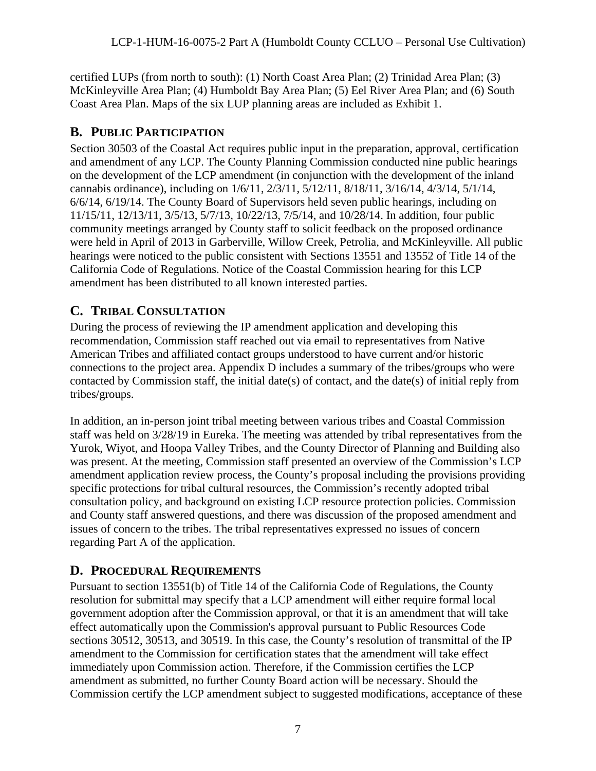certified LUPs (from north to south): (1) North Coast Area Plan; (2) Trinidad Area Plan; (3) McKinleyville Area Plan; (4) Humboldt Bay Area Plan; (5) Eel River Area Plan; and (6) South Coast Area Plan. Maps of the six LUP planning areas are included as Exhibit 1.

# <span id="page-6-0"></span>**B. PUBLIC PARTICIPATION**

Section 30503 of the Coastal Act requires public input in the preparation, approval, certification and amendment of any LCP. The County Planning Commission conducted nine public hearings on the development of the LCP amendment (in conjunction with the development of the inland cannabis ordinance), including on 1/6/11, 2/3/11, 5/12/11, 8/18/11, 3/16/14, 4/3/14, 5/1/14, 6/6/14, 6/19/14. The County Board of Supervisors held seven public hearings, including on 11/15/11, 12/13/11, 3/5/13, 5/7/13, 10/22/13, 7/5/14, and 10/28/14. In addition, four public community meetings arranged by County staff to solicit feedback on the proposed ordinance were held in April of 2013 in Garberville, Willow Creek, Petrolia, and McKinleyville. All public hearings were noticed to the public consistent with Sections 13551 and 13552 of Title 14 of the California Code of Regulations. Notice of the Coastal Commission hearing for this LCP amendment has been distributed to all known interested parties.

# <span id="page-6-1"></span>**C. TRIBAL CONSULTATION**

During the process of reviewing the IP amendment application and developing this recommendation, Commission staff reached out via email to representatives from Native American Tribes and affiliated contact groups understood to have current and/or historic connections to the project area. Appendix D includes a summary of the tribes/groups who were contacted by Commission staff, the initial date(s) of contact, and the date(s) of initial reply from tribes/groups.

In addition, an in-person joint tribal meeting between various tribes and Coastal Commission staff was held on 3/28/19 in Eureka. The meeting was attended by tribal representatives from the Yurok, Wiyot, and Hoopa Valley Tribes, and the County Director of Planning and Building also was present. At the meeting, Commission staff presented an overview of the Commission's LCP amendment application review process, the County's proposal including the provisions providing specific protections for tribal cultural resources, the Commission's recently adopted tribal consultation policy, and background on existing LCP resource protection policies. Commission and County staff answered questions, and there was discussion of the proposed amendment and issues of concern to the tribes. The tribal representatives expressed no issues of concern regarding Part A of the application.

# <span id="page-6-2"></span>**D. PROCEDURAL REQUIREMENTS**

Pursuant to section 13551(b) of Title 14 of the California Code of Regulations, the County resolution for submittal may specify that a LCP amendment will either require formal local government adoption after the Commission approval, or that it is an amendment that will take effect automatically upon the Commission's approval pursuant to Public Resources Code sections 30512, 30513, and 30519. In this case, the County's resolution of transmittal of the IP amendment to the Commission for certification states that the amendment will take effect immediately upon Commission action. Therefore, if the Commission certifies the LCP amendment as submitted, no further County Board action will be necessary. Should the Commission certify the LCP amendment subject to suggested modifications, acceptance of these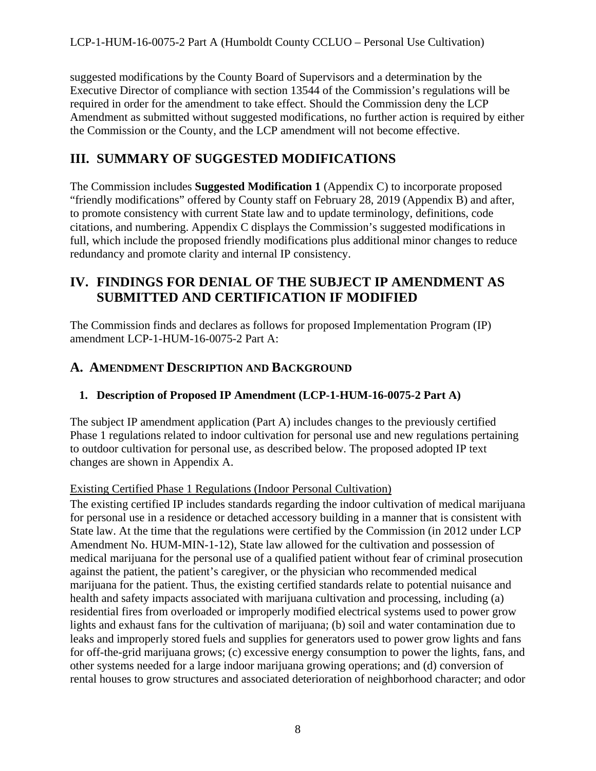suggested modifications by the County Board of Supervisors and a determination by the Executive Director of compliance with section 13544 of the Commission's regulations will be required in order for the amendment to take effect. Should the Commission deny the LCP Amendment as submitted without suggested modifications, no further action is required by either the Commission or the County, and the LCP amendment will not become effective.

# <span id="page-7-0"></span>**III. SUMMARY OF SUGGESTED MODIFICATIONS**

The Commission includes **Suggested Modification 1** (Appendix C) to incorporate proposed "friendly modifications" offered by County staff on February 28, 2019 (Appendix B) and after, to promote consistency with current State law and to update terminology, definitions, code citations, and numbering. Appendix C displays the Commission's suggested modifications in full, which include the proposed friendly modifications plus additional minor changes to reduce redundancy and promote clarity and internal IP consistency.

# <span id="page-7-1"></span>**IV. FINDINGS FOR DENIAL OF THE SUBJECT IP AMENDMENT AS SUBMITTED AND CERTIFICATION IF MODIFIED**

The Commission finds and declares as follows for proposed Implementation Program (IP) amendment LCP-1-HUM-16-0075-2 Part A:

## <span id="page-7-2"></span>**A. AMENDMENT DESCRIPTION AND BACKGROUND**

### <span id="page-7-3"></span>**1. Description of Proposed IP Amendment (LCP-1-HUM-16-0075-2 Part A)**

The subject IP amendment application (Part A) includes changes to the previously certified Phase 1 regulations related to indoor cultivation for personal use and new regulations pertaining to outdoor cultivation for personal use, as described below. The proposed adopted IP text changes are shown in Appendix A.

### Existing Certified Phase 1 Regulations (Indoor Personal Cultivation)

The existing certified IP includes standards regarding the indoor cultivation of medical marijuana for personal use in a residence or detached accessory building in a manner that is consistent with State law. At the time that the regulations were certified by the Commission (in 2012 under LCP Amendment No. HUM-MIN-1-12), State law allowed for the cultivation and possession of medical marijuana for the personal use of a qualified patient without fear of criminal prosecution against the patient, the patient's caregiver, or the physician who recommended medical marijuana for the patient. Thus, the existing certified standards relate to potential nuisance and health and safety impacts associated with marijuana cultivation and processing, including (a) residential fires from overloaded or improperly modified electrical systems used to power grow lights and exhaust fans for the cultivation of marijuana; (b) soil and water contamination due to leaks and improperly stored fuels and supplies for generators used to power grow lights and fans for off-the-grid marijuana grows; (c) excessive energy consumption to power the lights, fans, and other systems needed for a large indoor marijuana growing operations; and (d) conversion of rental houses to grow structures and associated deterioration of neighborhood character; and odor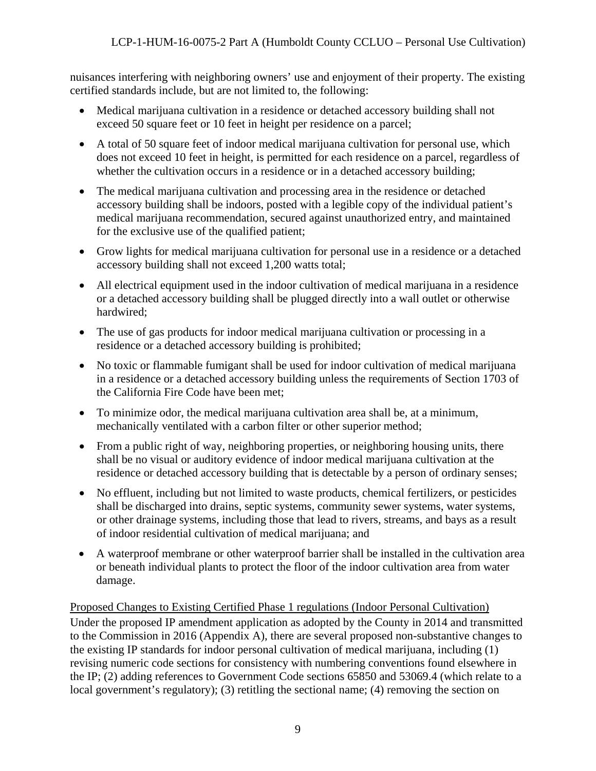nuisances interfering with neighboring owners' use and enjoyment of their property. The existing certified standards include, but are not limited to, the following:

- Medical marijuana cultivation in a residence or detached accessory building shall not exceed 50 square feet or 10 feet in height per residence on a parcel;
- A total of 50 square feet of indoor medical marijuana cultivation for personal use, which does not exceed 10 feet in height, is permitted for each residence on a parcel, regardless of whether the cultivation occurs in a residence or in a detached accessory building;
- The medical marijuana cultivation and processing area in the residence or detached accessory building shall be indoors, posted with a legible copy of the individual patient's medical marijuana recommendation, secured against unauthorized entry, and maintained for the exclusive use of the qualified patient;
- Grow lights for medical marijuana cultivation for personal use in a residence or a detached accessory building shall not exceed 1,200 watts total;
- All electrical equipment used in the indoor cultivation of medical marijuana in a residence or a detached accessory building shall be plugged directly into a wall outlet or otherwise hardwired;
- The use of gas products for indoor medical marijuana cultivation or processing in a residence or a detached accessory building is prohibited;
- No toxic or flammable fumigant shall be used for indoor cultivation of medical marijuana in a residence or a detached accessory building unless the requirements of Section 1703 of the California Fire Code have been met;
- To minimize odor, the medical marijuana cultivation area shall be, at a minimum, mechanically ventilated with a carbon filter or other superior method;
- From a public right of way, neighboring properties, or neighboring housing units, there shall be no visual or auditory evidence of indoor medical marijuana cultivation at the residence or detached accessory building that is detectable by a person of ordinary senses;
- No effluent, including but not limited to waste products, chemical fertilizers, or pesticides shall be discharged into drains, septic systems, community sewer systems, water systems, or other drainage systems, including those that lead to rivers, streams, and bays as a result of indoor residential cultivation of medical marijuana; and
- A waterproof membrane or other waterproof barrier shall be installed in the cultivation area or beneath individual plants to protect the floor of the indoor cultivation area from water damage.

# Proposed Changes to Existing Certified Phase 1 regulations (Indoor Personal Cultivation)

Under the proposed IP amendment application as adopted by the County in 2014 and transmitted to the Commission in 2016 (Appendix A), there are several proposed non-substantive changes to the existing IP standards for indoor personal cultivation of medical marijuana, including (1) revising numeric code sections for consistency with numbering conventions found elsewhere in the IP; (2) adding references to Government Code sections 65850 and 53069.4 (which relate to a local government's regulatory); (3) retitling the sectional name; (4) removing the section on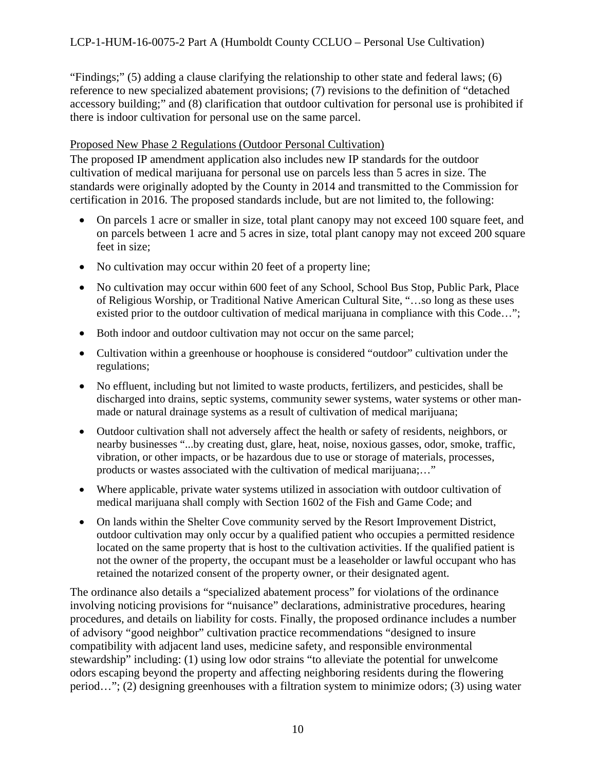"Findings;" (5) adding a clause clarifying the relationship to other state and federal laws; (6) reference to new specialized abatement provisions; (7) revisions to the definition of "detached accessory building;" and (8) clarification that outdoor cultivation for personal use is prohibited if there is indoor cultivation for personal use on the same parcel.

#### Proposed New Phase 2 Regulations (Outdoor Personal Cultivation)

The proposed IP amendment application also includes new IP standards for the outdoor cultivation of medical marijuana for personal use on parcels less than 5 acres in size. The standards were originally adopted by the County in 2014 and transmitted to the Commission for certification in 2016. The proposed standards include, but are not limited to, the following:

- On parcels 1 acre or smaller in size, total plant canopy may not exceed 100 square feet, and on parcels between 1 acre and 5 acres in size, total plant canopy may not exceed 200 square feet in size;
- No cultivation may occur within 20 feet of a property line;
- No cultivation may occur within 600 feet of any School, School Bus Stop, Public Park, Place of Religious Worship, or Traditional Native American Cultural Site, "…so long as these uses existed prior to the outdoor cultivation of medical marijuana in compliance with this Code...";
- Both indoor and outdoor cultivation may not occur on the same parcel;
- Cultivation within a greenhouse or hoophouse is considered "outdoor" cultivation under the regulations;
- No effluent, including but not limited to waste products, fertilizers, and pesticides, shall be discharged into drains, septic systems, community sewer systems, water systems or other manmade or natural drainage systems as a result of cultivation of medical marijuana;
- Outdoor cultivation shall not adversely affect the health or safety of residents, neighbors, or nearby businesses "...by creating dust, glare, heat, noise, noxious gasses, odor, smoke, traffic, vibration, or other impacts, or be hazardous due to use or storage of materials, processes, products or wastes associated with the cultivation of medical marijuana;…"
- Where applicable, private water systems utilized in association with outdoor cultivation of medical marijuana shall comply with Section 1602 of the Fish and Game Code; and
- On lands within the Shelter Cove community served by the Resort Improvement District, outdoor cultivation may only occur by a qualified patient who occupies a permitted residence located on the same property that is host to the cultivation activities. If the qualified patient is not the owner of the property, the occupant must be a leaseholder or lawful occupant who has retained the notarized consent of the property owner, or their designated agent.

The ordinance also details a "specialized abatement process" for violations of the ordinance involving noticing provisions for "nuisance" declarations, administrative procedures, hearing procedures, and details on liability for costs. Finally, the proposed ordinance includes a number of advisory "good neighbor" cultivation practice recommendations "designed to insure compatibility with adjacent land uses, medicine safety, and responsible environmental stewardship" including: (1) using low odor strains "to alleviate the potential for unwelcome odors escaping beyond the property and affecting neighboring residents during the flowering period…"; (2) designing greenhouses with a filtration system to minimize odors; (3) using water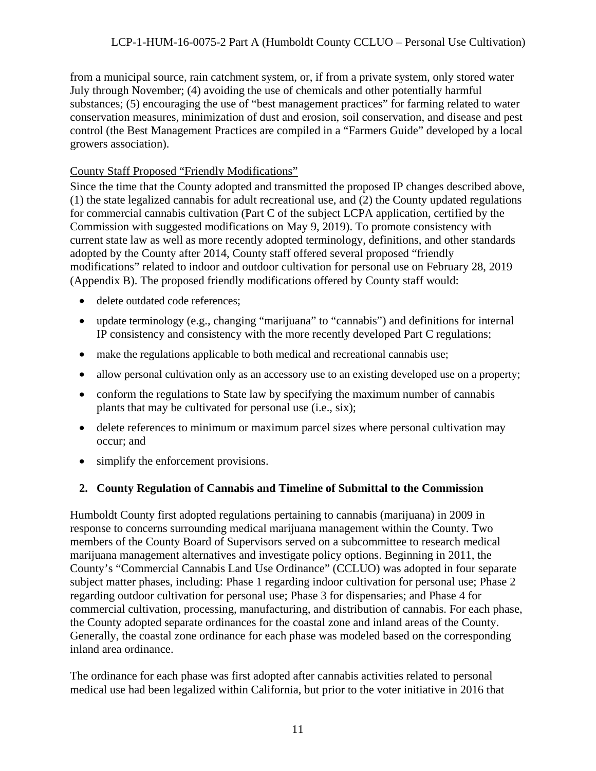### LCP-1-HUM-16-0075-2 Part A (Humboldt County CCLUO – Personal Use Cultivation)

from a municipal source, rain catchment system, or, if from a private system, only stored water July through November; (4) avoiding the use of chemicals and other potentially harmful substances; (5) encouraging the use of "best management practices" for farming related to water conservation measures, minimization of dust and erosion, soil conservation, and disease and pest control (the Best Management Practices are compiled in a "Farmers Guide" developed by a local growers association).

#### County Staff Proposed "Friendly Modifications"

Since the time that the County adopted and transmitted the proposed IP changes described above, (1) the state legalized cannabis for adult recreational use, and (2) the County updated regulations for commercial cannabis cultivation (Part C of the subject LCPA application, certified by the Commission with suggested modifications on May 9, 2019). To promote consistency with current state law as well as more recently adopted terminology, definitions, and other standards adopted by the County after 2014, County staff offered several proposed "friendly modifications" related to indoor and outdoor cultivation for personal use on February 28, 2019 (Appendix B). The proposed friendly modifications offered by County staff would:

- delete outdated code references;
- update terminology (e.g., changing "marijuana" to "cannabis") and definitions for internal IP consistency and consistency with the more recently developed Part C regulations;
- make the regulations applicable to both medical and recreational cannabis use;
- allow personal cultivation only as an accessory use to an existing developed use on a property;
- conform the regulations to State law by specifying the maximum number of cannabis plants that may be cultivated for personal use (i.e., six);
- delete references to minimum or maximum parcel sizes where personal cultivation may occur; and
- simplify the enforcement provisions.

### <span id="page-10-0"></span>**2. County Regulation of Cannabis and Timeline of Submittal to the Commission**

Humboldt County first adopted regulations pertaining to cannabis (marijuana) in 2009 in response to concerns surrounding medical marijuana management within the County. Two members of the County Board of Supervisors served on a subcommittee to research medical marijuana management alternatives and investigate policy options. Beginning in 2011, the County's "Commercial Cannabis Land Use Ordinance" (CCLUO) was adopted in four separate subject matter phases, including: Phase 1 regarding indoor cultivation for personal use; Phase 2 regarding outdoor cultivation for personal use; Phase 3 for dispensaries; and Phase 4 for commercial cultivation, processing, manufacturing, and distribution of cannabis. For each phase, the County adopted separate ordinances for the coastal zone and inland areas of the County. Generally, the coastal zone ordinance for each phase was modeled based on the corresponding inland area ordinance.

The ordinance for each phase was first adopted after cannabis activities related to personal medical use had been legalized within California, but prior to the voter initiative in 2016 that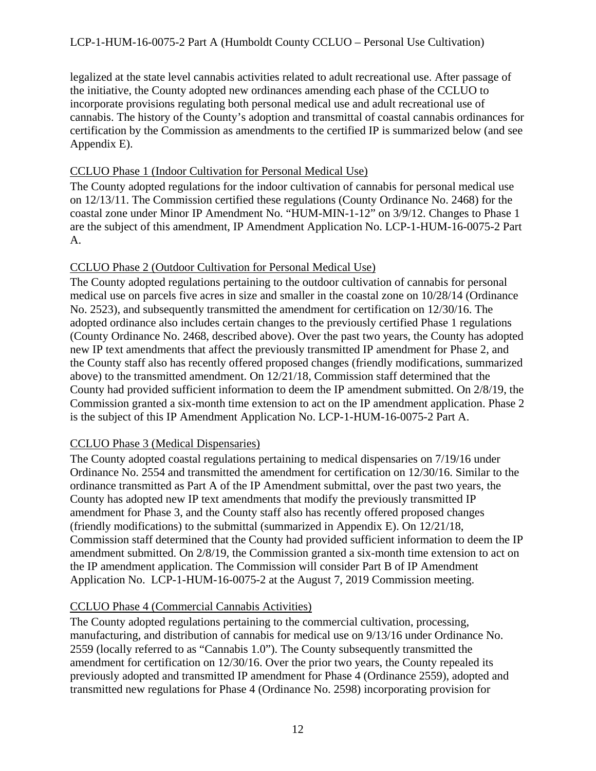legalized at the state level cannabis activities related to adult recreational use. After passage of the initiative, the County adopted new ordinances amending each phase of the CCLUO to incorporate provisions regulating both personal medical use and adult recreational use of cannabis. The history of the County's adoption and transmittal of coastal cannabis ordinances for certification by the Commission as amendments to the certified IP is summarized below (and see Appendix E).

#### CCLUO Phase 1 (Indoor Cultivation for Personal Medical Use)

The County adopted regulations for the indoor cultivation of cannabis for personal medical use on 12/13/11. The Commission certified these regulations (County Ordinance No. 2468) for the coastal zone under Minor IP Amendment No. "HUM-MIN-1-12" on 3/9/12. Changes to Phase 1 are the subject of this amendment, IP Amendment Application No. LCP-1-HUM-16-0075-2 Part A.

### CCLUO Phase 2 (Outdoor Cultivation for Personal Medical Use)

The County adopted regulations pertaining to the outdoor cultivation of cannabis for personal medical use on parcels five acres in size and smaller in the coastal zone on 10/28/14 (Ordinance No. 2523), and subsequently transmitted the amendment for certification on 12/30/16. The adopted ordinance also includes certain changes to the previously certified Phase 1 regulations (County Ordinance No. 2468, described above). Over the past two years, the County has adopted new IP text amendments that affect the previously transmitted IP amendment for Phase 2, and the County staff also has recently offered proposed changes (friendly modifications, summarized above) to the transmitted amendment. On 12/21/18, Commission staff determined that the County had provided sufficient information to deem the IP amendment submitted. On 2/8/19, the Commission granted a six-month time extension to act on the IP amendment application. Phase 2 is the subject of this IP Amendment Application No. LCP-1-HUM-16-0075-2 Part A.

### CCLUO Phase 3 (Medical Dispensaries)

The County adopted coastal regulations pertaining to medical dispensaries on 7/19/16 under Ordinance No. 2554 and transmitted the amendment for certification on 12/30/16. Similar to the ordinance transmitted as Part A of the IP Amendment submittal, over the past two years, the County has adopted new IP text amendments that modify the previously transmitted IP amendment for Phase 3, and the County staff also has recently offered proposed changes (friendly modifications) to the submittal (summarized in Appendix E). On 12/21/18, Commission staff determined that the County had provided sufficient information to deem the IP amendment submitted. On 2/8/19, the Commission granted a six-month time extension to act on the IP amendment application. The Commission will consider Part B of IP Amendment Application No. LCP-1-HUM-16-0075-2 at the August 7, 2019 Commission meeting.

### CCLUO Phase 4 (Commercial Cannabis Activities)

The County adopted regulations pertaining to the commercial cultivation, processing, manufacturing, and distribution of cannabis for medical use on 9/13/16 under Ordinance No. 2559 (locally referred to as "Cannabis 1.0"). The County subsequently transmitted the amendment for certification on 12/30/16. Over the prior two years, the County repealed its previously adopted and transmitted IP amendment for Phase 4 (Ordinance 2559), adopted and transmitted new regulations for Phase 4 (Ordinance No. 2598) incorporating provision for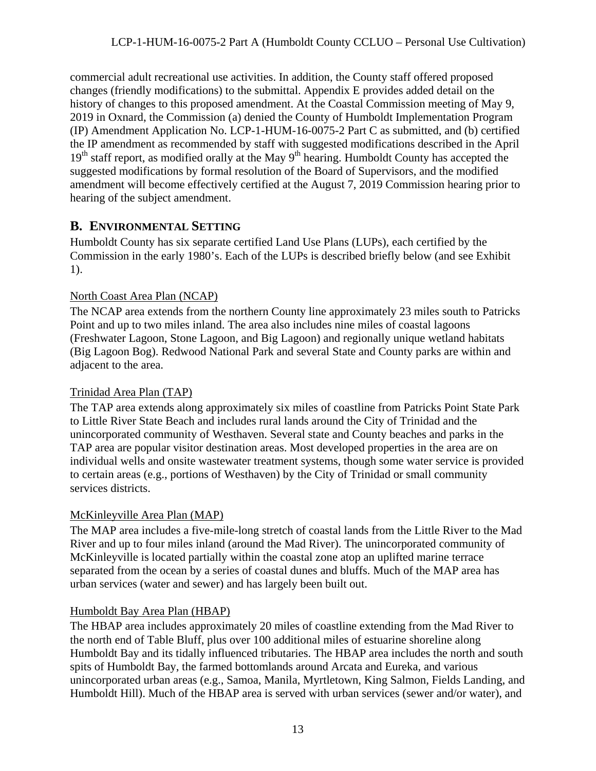commercial adult recreational use activities. In addition, the County staff offered proposed changes (friendly modifications) to the submittal. Appendix E provides added detail on the history of changes to this proposed amendment. At the Coastal Commission meeting of May 9, 2019 in Oxnard, the Commission (a) denied the County of Humboldt Implementation Program (IP) Amendment Application No. LCP-1-HUM-16-0075-2 Part C as submitted, and (b) certified the IP amendment as recommended by staff with suggested modifications described in the April  $19<sup>th</sup>$  staff report, as modified orally at the May  $9<sup>th</sup>$  hearing. Humboldt County has accepted the suggested modifications by formal resolution of the Board of Supervisors, and the modified amendment will become effectively certified at the August 7, 2019 Commission hearing prior to hearing of the subject amendment.

### <span id="page-12-0"></span>**B. ENVIRONMENTAL SETTING**

Humboldt County has six separate certified Land Use Plans (LUPs), each certified by the Commission in the early 1980's. Each of the LUPs is described briefly below (and see Exhibit 1).

### North Coast Area Plan (NCAP)

The NCAP area extends from the northern County line approximately 23 miles south to Patricks Point and up to two miles inland. The area also includes nine miles of coastal lagoons (Freshwater Lagoon, Stone Lagoon, and Big Lagoon) and regionally unique wetland habitats (Big Lagoon Bog). Redwood National Park and several State and County parks are within and adjacent to the area.

### Trinidad Area Plan (TAP)

The TAP area extends along approximately six miles of coastline from Patricks Point State Park to Little River State Beach and includes rural lands around the City of Trinidad and the unincorporated community of Westhaven. Several state and County beaches and parks in the TAP area are popular visitor destination areas. Most developed properties in the area are on individual wells and onsite wastewater treatment systems, though some water service is provided to certain areas (e.g., portions of Westhaven) by the City of Trinidad or small community services districts.

### McKinleyville Area Plan (MAP)

The MAP area includes a five-mile-long stretch of coastal lands from the Little River to the Mad River and up to four miles inland (around the Mad River). The unincorporated community of McKinleyville is located partially within the coastal zone atop an uplifted marine terrace separated from the ocean by a series of coastal dunes and bluffs. Much of the MAP area has urban services (water and sewer) and has largely been built out.

### Humboldt Bay Area Plan (HBAP)

The HBAP area includes approximately 20 miles of coastline extending from the Mad River to the north end of Table Bluff, plus over 100 additional miles of estuarine shoreline along Humboldt Bay and its tidally influenced tributaries. The HBAP area includes the north and south spits of Humboldt Bay, the farmed bottomlands around Arcata and Eureka, and various unincorporated urban areas (e.g., Samoa, Manila, Myrtletown, King Salmon, Fields Landing, and Humboldt Hill). Much of the HBAP area is served with urban services (sewer and/or water), and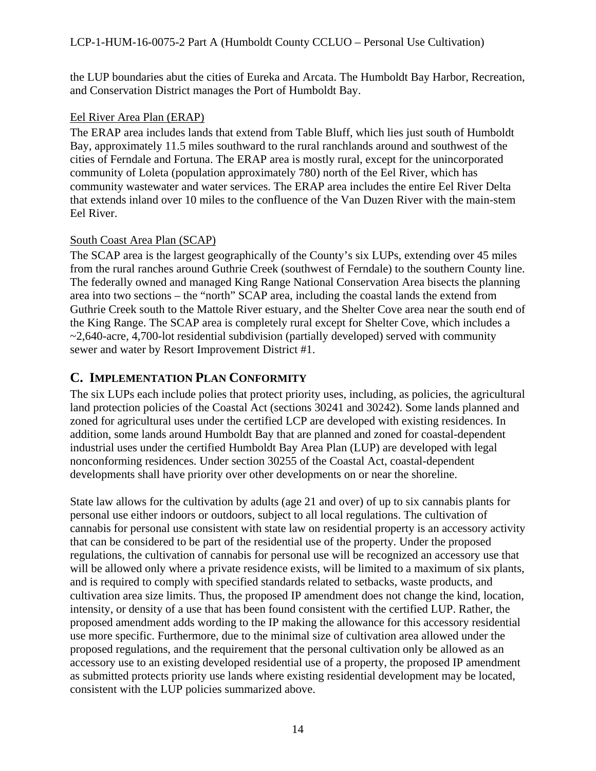the LUP boundaries abut the cities of Eureka and Arcata. The Humboldt Bay Harbor, Recreation, and Conservation District manages the Port of Humboldt Bay.

### Eel River Area Plan (ERAP)

The ERAP area includes lands that extend from Table Bluff, which lies just south of Humboldt Bay, approximately 11.5 miles southward to the rural ranchlands around and southwest of the cities of Ferndale and Fortuna. The ERAP area is mostly rural, except for the unincorporated community of Loleta (population approximately 780) north of the Eel River, which has community wastewater and water services. The ERAP area includes the entire Eel River Delta that extends inland over 10 miles to the confluence of the Van Duzen River with the main-stem Eel River.

### South Coast Area Plan (SCAP)

The SCAP area is the largest geographically of the County's six LUPs, extending over 45 miles from the rural ranches around Guthrie Creek (southwest of Ferndale) to the southern County line. The federally owned and managed King Range National Conservation Area bisects the planning area into two sections – the "north" SCAP area, including the coastal lands the extend from Guthrie Creek south to the Mattole River estuary, and the Shelter Cove area near the south end of the King Range. The SCAP area is completely rural except for Shelter Cove, which includes a  $\sim$ 2,640-acre, 4,700-lot residential subdivision (partially developed) served with community sewer and water by Resort Improvement District #1.

### <span id="page-13-0"></span>**C. IMPLEMENTATION PLAN CONFORMITY**

The six LUPs each include polies that protect priority uses, including, as policies, the agricultural land protection policies of the Coastal Act (sections 30241 and 30242). Some lands planned and zoned for agricultural uses under the certified LCP are developed with existing residences. In addition, some lands around Humboldt Bay that are planned and zoned for coastal-dependent industrial uses under the certified Humboldt Bay Area Plan (LUP) are developed with legal nonconforming residences. Under section 30255 of the Coastal Act, coastal-dependent developments shall have priority over other developments on or near the shoreline.

State law allows for the cultivation by adults (age 21 and over) of up to six cannabis plants for personal use either indoors or outdoors, subject to all local regulations. The cultivation of cannabis for personal use consistent with state law on residential property is an accessory activity that can be considered to be part of the residential use of the property. Under the proposed regulations, the cultivation of cannabis for personal use will be recognized an accessory use that will be allowed only where a private residence exists, will be limited to a maximum of six plants, and is required to comply with specified standards related to setbacks, waste products, and cultivation area size limits. Thus, the proposed IP amendment does not change the kind, location, intensity, or density of a use that has been found consistent with the certified LUP. Rather, the proposed amendment adds wording to the IP making the allowance for this accessory residential use more specific. Furthermore, due to the minimal size of cultivation area allowed under the proposed regulations, and the requirement that the personal cultivation only be allowed as an accessory use to an existing developed residential use of a property, the proposed IP amendment as submitted protects priority use lands where existing residential development may be located, consistent with the LUP policies summarized above.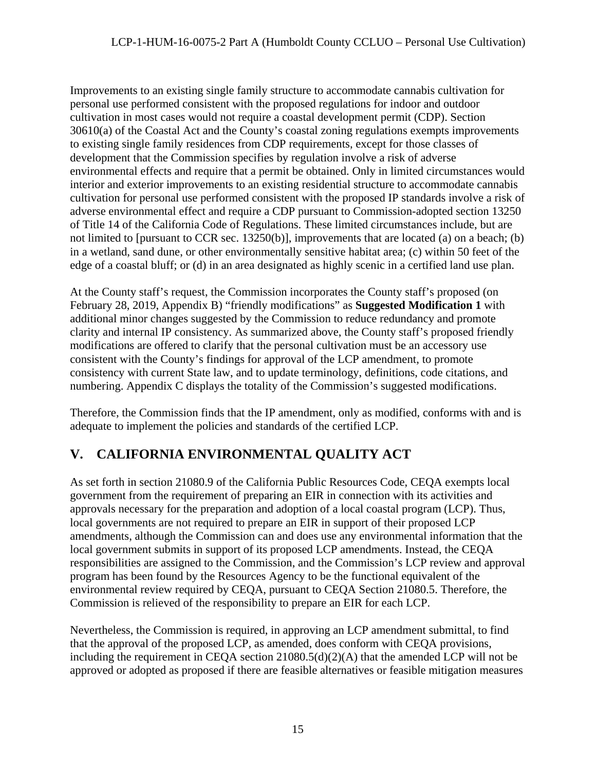Improvements to an existing single family structure to accommodate cannabis cultivation for personal use performed consistent with the proposed regulations for indoor and outdoor cultivation in most cases would not require a coastal development permit (CDP). Section 30610(a) of the Coastal Act and the County's coastal zoning regulations exempts improvements to existing single family residences from CDP requirements, except for those classes of development that the Commission specifies by regulation involve a risk of adverse environmental effects and require that a permit be obtained. Only in limited circumstances would interior and exterior improvements to an existing residential structure to accommodate cannabis cultivation for personal use performed consistent with the proposed IP standards involve a risk of adverse environmental effect and require a CDP pursuant to Commission-adopted section 13250 of Title 14 of the California Code of Regulations. These limited circumstances include, but are not limited to [pursuant to CCR sec. 13250(b)], improvements that are located (a) on a beach; (b) in a wetland, sand dune, or other environmentally sensitive habitat area; (c) within 50 feet of the edge of a coastal bluff; or (d) in an area designated as highly scenic in a certified land use plan.

At the County staff's request, the Commission incorporates the County staff's proposed (on February 28, 2019, Appendix B) "friendly modifications" as **Suggested Modification 1** with additional minor changes suggested by the Commission to reduce redundancy and promote clarity and internal IP consistency. As summarized above, the County staff's proposed friendly modifications are offered to clarify that the personal cultivation must be an accessory use consistent with the County's findings for approval of the LCP amendment, to promote consistency with current State law, and to update terminology, definitions, code citations, and numbering. Appendix C displays the totality of the Commission's suggested modifications.

Therefore, the Commission finds that the IP amendment, only as modified, conforms with and is adequate to implement the policies and standards of the certified LCP.

# <span id="page-14-0"></span>**V. CALIFORNIA ENVIRONMENTAL QUALITY ACT**

As set forth in section 21080.9 of the California Public Resources Code, CEQA exempts local government from the requirement of preparing an EIR in connection with its activities and approvals necessary for the preparation and adoption of a local coastal program (LCP). Thus, local governments are not required to prepare an EIR in support of their proposed LCP amendments, although the Commission can and does use any environmental information that the local government submits in support of its proposed LCP amendments. Instead, the CEQA responsibilities are assigned to the Commission, and the Commission's LCP review and approval program has been found by the Resources Agency to be the functional equivalent of the environmental review required by CEQA, pursuant to CEQA Section 21080.5. Therefore, the Commission is relieved of the responsibility to prepare an EIR for each LCP.

Nevertheless, the Commission is required, in approving an LCP amendment submittal, to find that the approval of the proposed LCP, as amended, does conform with CEQA provisions, including the requirement in CEQA section  $21080.5(d)(2)(A)$  that the amended LCP will not be approved or adopted as proposed if there are feasible alternatives or feasible mitigation measures